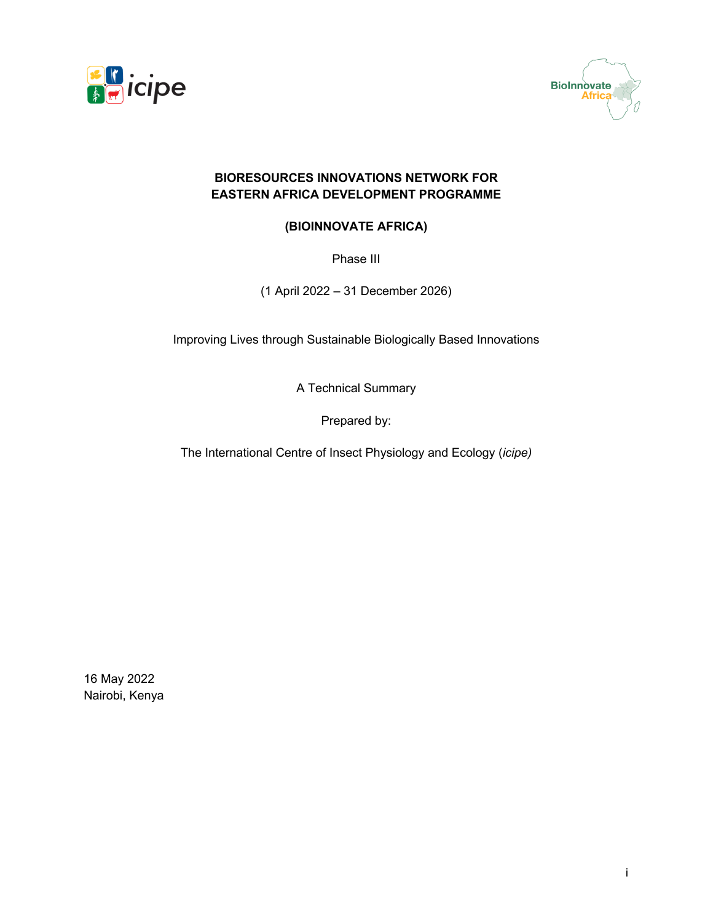



### **BIORESOURCES INNOVATIONS NETWORK FOR EASTERN AFRICA DEVELOPMENT PROGRAMME**

### **(BIOINNOVATE AFRICA)**

Phase III

(1 April 2022 – 31 December 2026)

Improving Lives through Sustainable Biologically Based Innovations

A Technical Summary

Prepared by:

The International Centre of Insect Physiology and Ecology (*icipe)*

16 May 2022 Nairobi, Kenya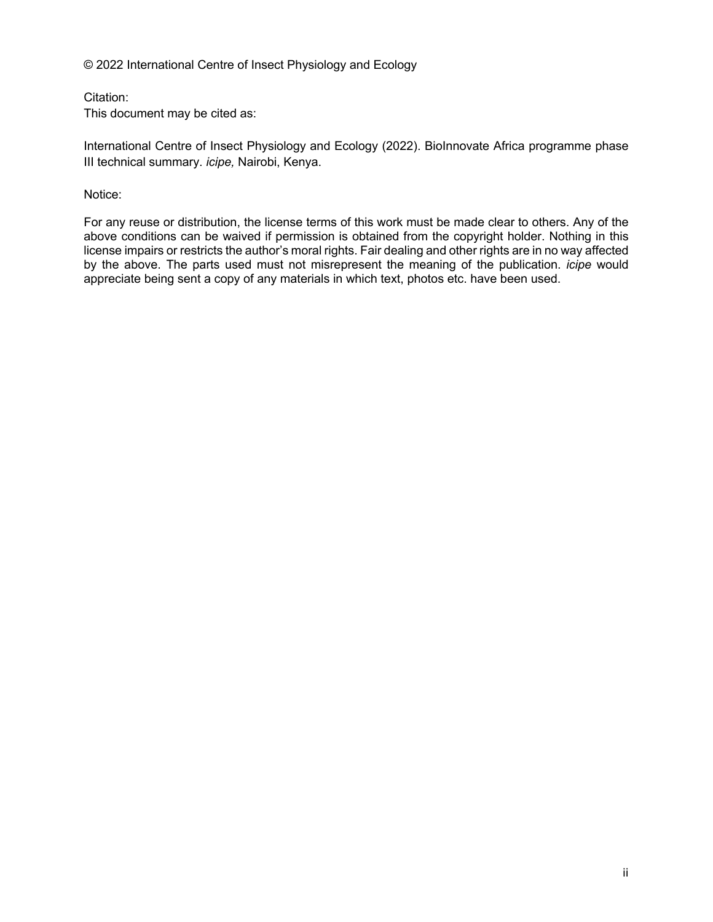© 2022 International Centre of Insect Physiology and Ecology

Citation:

This document may be cited as:

International Centre of Insect Physiology and Ecology (2022). BioInnovate Africa programme phase III technical summary. *icipe,* Nairobi, Kenya.

Notice:

For any reuse or distribution, the license terms of this work must be made clear to others. Any of the above conditions can be waived if permission is obtained from the copyright holder. Nothing in this license impairs or restricts the author's moral rights. Fair dealing and other rights are in no way affected by the above. The parts used must not misrepresent the meaning of the publication. *icipe* would appreciate being sent a copy of any materials in which text, photos etc. have been used.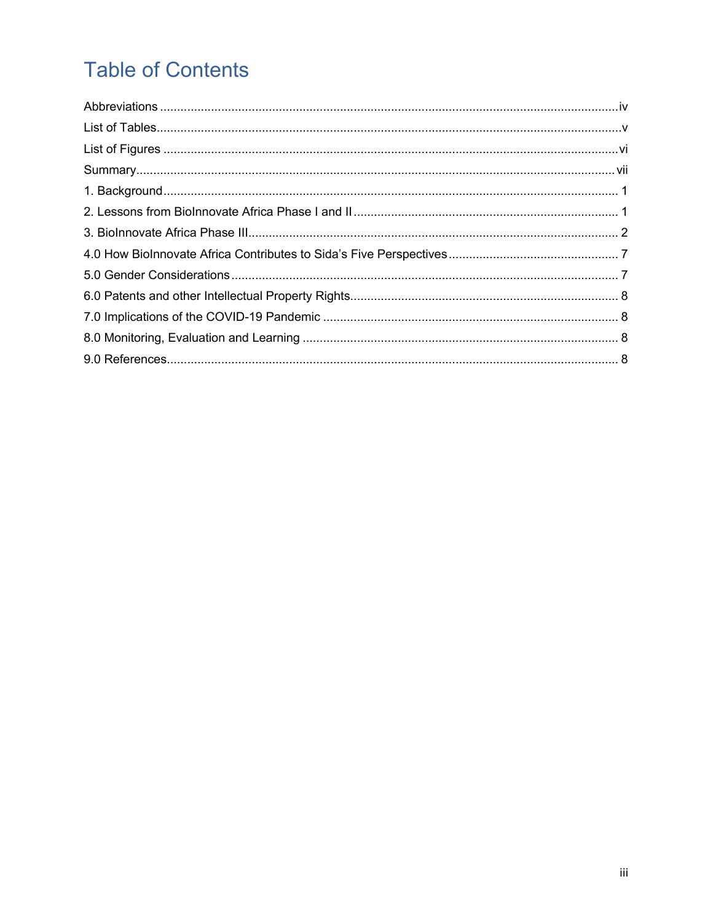# **Table of Contents**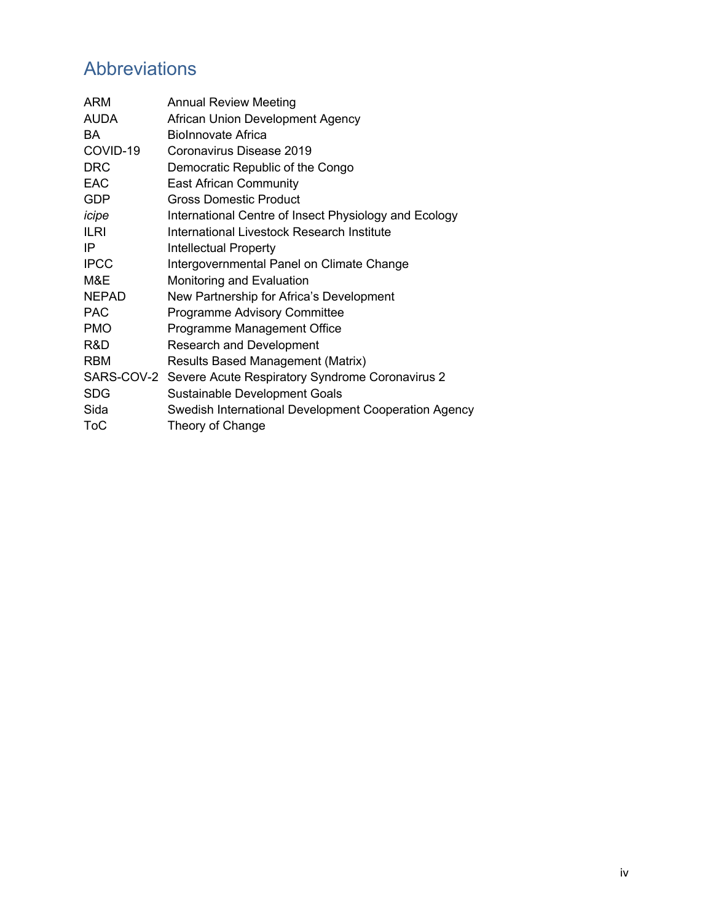# Abbreviations

| International Centre of Insect Physiology and Ecology |
|-------------------------------------------------------|
|                                                       |
|                                                       |
|                                                       |
|                                                       |
|                                                       |
|                                                       |
|                                                       |
|                                                       |
|                                                       |
|                                                       |
|                                                       |
| Swedish International Development Cooperation Agency  |
|                                                       |
|                                                       |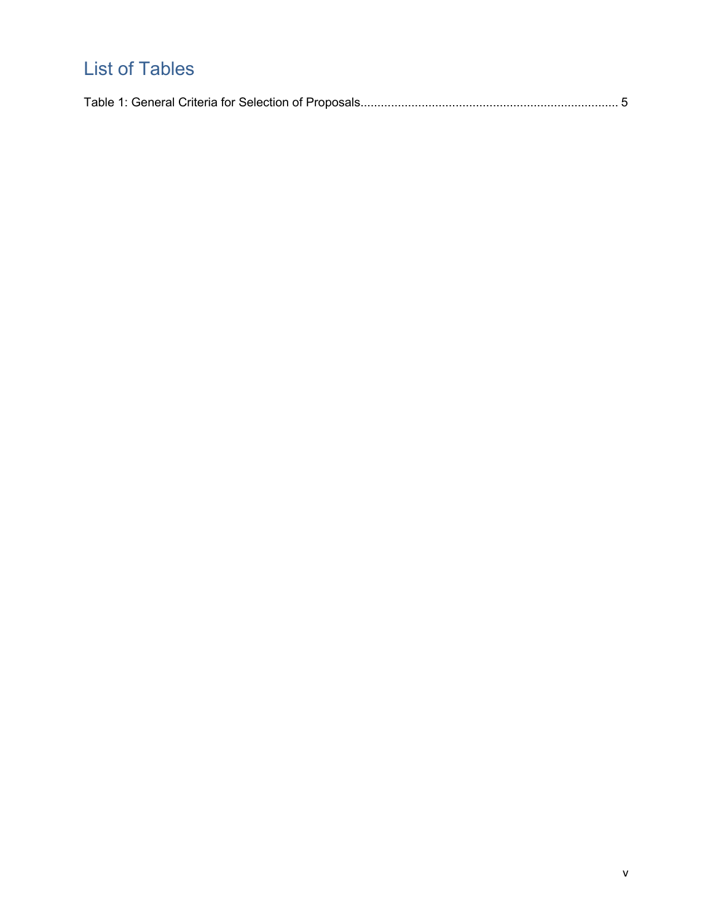# List of Tables

|--|--|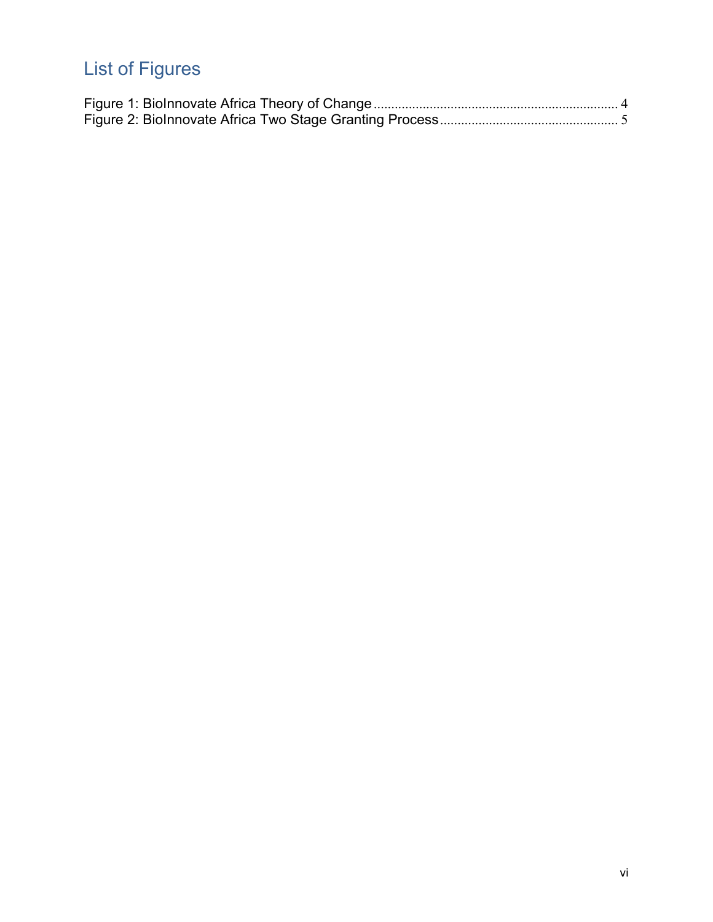# List of Figures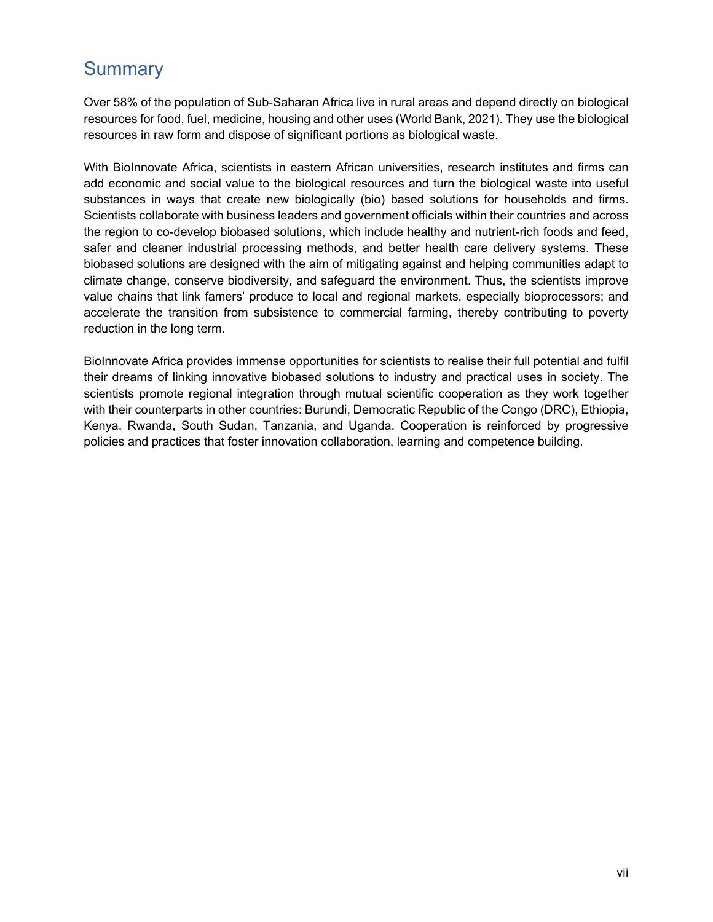## **Summary**

Over 58% of the population of Sub-Saharan Africa live in rural areas and depend directly on biological resources for food, fuel, medicine, housing and other uses (World Bank, 2021). They use the biological resources in raw form and dispose of significant portions as biological waste.

With BioInnovate Africa, scientists in eastern African universities, research institutes and firms can add economic and social value to the biological resources and turn the biological waste into useful substances in ways that create new biologically (bio) based solutions for households and firms. Scientists collaborate with business leaders and government officials within their countries and across the region to co-develop biobased solutions, which include healthy and nutrient-rich foods and feed, safer and cleaner industrial processing methods, and better health care delivery systems. These biobased solutions are designed with the aim of mitigating against and helping communities adapt to climate change, conserve biodiversity, and safeguard the environment. Thus, the scientists improve value chains that link famers' produce to local and regional markets, especially bioprocessors; and accelerate the transition from subsistence to commercial farming, thereby contributing to poverty reduction in the long term.

BioInnovate Africa provides immense opportunities for scientists to realise their full potential and fulfil their dreams of linking innovative biobased solutions to industry and practical uses in society. The scientists promote regional integration through mutual scientific cooperation as they work together with their counterparts in other countries: Burundi, Democratic Republic of the Congo (DRC), Ethiopia, Kenya, Rwanda, South Sudan, Tanzania, and Uganda. Cooperation is reinforced by progressive policies and practices that foster innovation collaboration, learning and competence building.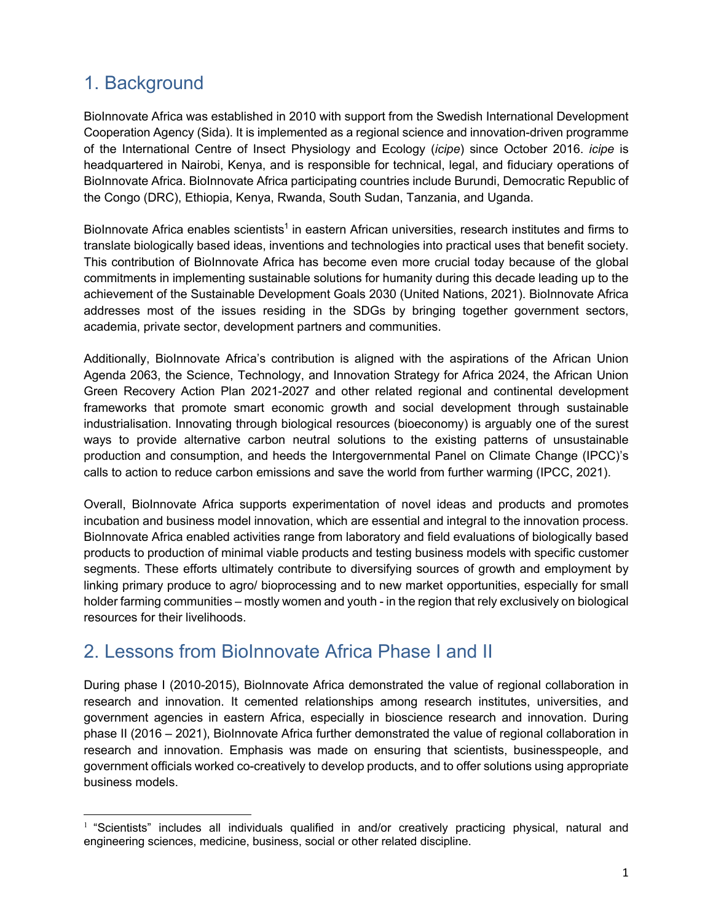# 1. Background

BioInnovate Africa was established in 2010 with support from the Swedish International Development Cooperation Agency (Sida). It is implemented as a regional science and innovation-driven programme of the International Centre of Insect Physiology and Ecology (*icipe*) since October 2016. *icipe* is headquartered in Nairobi, Kenya, and is responsible for technical, legal, and fiduciary operations of BioInnovate Africa. BioInnovate Africa participating countries include Burundi, Democratic Republic of the Congo (DRC), Ethiopia, Kenya, Rwanda, South Sudan, Tanzania, and Uganda.

BioInnovate Africa enables scientists<sup>1</sup> in eastern African universities, research institutes and firms to translate biologically based ideas, inventions and technologies into practical uses that benefit society. This contribution of BioInnovate Africa has become even more crucial today because of the global commitments in implementing sustainable solutions for humanity during this decade leading up to the achievement of the Sustainable Development Goals 2030 (United Nations, 2021). BioInnovate Africa addresses most of the issues residing in the SDGs by bringing together government sectors, academia, private sector, development partners and communities.

Additionally, BioInnovate Africa's contribution is aligned with the aspirations of the African Union Agenda 2063, the Science, Technology, and Innovation Strategy for Africa 2024, the African Union Green Recovery Action Plan 2021-2027 and other related regional and continental development frameworks that promote smart economic growth and social development through sustainable industrialisation. Innovating through biological resources (bioeconomy) is arguably one of the surest ways to provide alternative carbon neutral solutions to the existing patterns of unsustainable production and consumption, and heeds the Intergovernmental Panel on Climate Change (IPCC)'s calls to action to reduce carbon emissions and save the world from further warming (IPCC, 2021).

Overall, BioInnovate Africa supports experimentation of novel ideas and products and promotes incubation and business model innovation, which are essential and integral to the innovation process. BioInnovate Africa enabled activities range from laboratory and field evaluations of biologically based products to production of minimal viable products and testing business models with specific customer segments. These efforts ultimately contribute to diversifying sources of growth and employment by linking primary produce to agro/ bioprocessing and to new market opportunities, especially for small holder farming communities – mostly women and youth - in the region that rely exclusively on biological resources for their livelihoods.

### 2. Lessons from BioInnovate Africa Phase I and II

During phase I (2010-2015), BioInnovate Africa demonstrated the value of regional collaboration in research and innovation. It cemented relationships among research institutes, universities, and government agencies in eastern Africa, especially in bioscience research and innovation. During phase II (2016 – 2021), BioInnovate Africa further demonstrated the value of regional collaboration in research and innovation. Emphasis was made on ensuring that scientists, businesspeople, and government officials worked co-creatively to develop products, and to offer solutions using appropriate business models.

 $1$  "Scientists" includes all individuals qualified in and/or creatively practicing physical, natural and engineering sciences, medicine, business, social or other related discipline.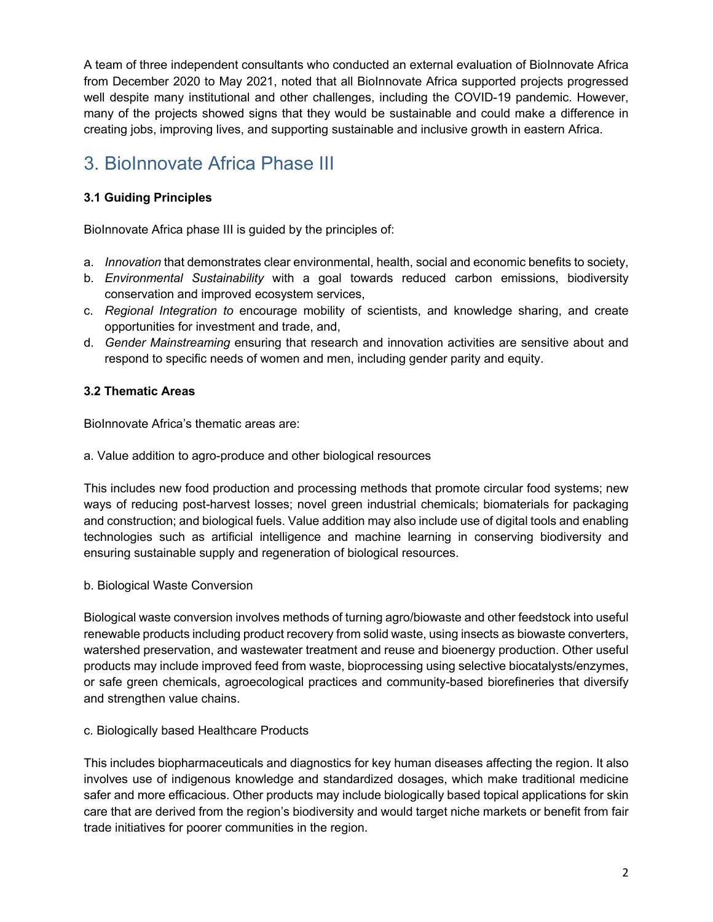A team of three independent consultants who conducted an external evaluation of BioInnovate Africa from December 2020 to May 2021, noted that all BioInnovate Africa supported projects progressed well despite many institutional and other challenges, including the COVID-19 pandemic. However, many of the projects showed signs that they would be sustainable and could make a difference in creating jobs, improving lives, and supporting sustainable and inclusive growth in eastern Africa.

# 3. BioInnovate Africa Phase III

### **3.1 Guiding Principles**

BioInnovate Africa phase III is guided by the principles of:

- a. *Innovation* that demonstrates clear environmental, health, social and economic benefits to society,
- b. *Environmental Sustainability* with a goal towards reduced carbon emissions, biodiversity conservation and improved ecosystem services,
- c. *Regional Integration to* encourage mobility of scientists, and knowledge sharing, and create opportunities for investment and trade, and,
- d. *Gender Mainstreaming* ensuring that research and innovation activities are sensitive about and respond to specific needs of women and men, including gender parity and equity.

### **3.2 Thematic Areas**

BioInnovate Africa's thematic areas are:

a. Value addition to agro-produce and other biological resources

This includes new food production and processing methods that promote circular food systems; new ways of reducing post-harvest losses; novel green industrial chemicals; biomaterials for packaging and construction; and biological fuels. Value addition may also include use of digital tools and enabling technologies such as artificial intelligence and machine learning in conserving biodiversity and ensuring sustainable supply and regeneration of biological resources.

b. Biological Waste Conversion

Biological waste conversion involves methods of turning agro/biowaste and other feedstock into useful renewable products including product recovery from solid waste, using insects as biowaste converters, watershed preservation, and wastewater treatment and reuse and bioenergy production. Other useful products may include improved feed from waste, bioprocessing using selective biocatalysts/enzymes, or safe green chemicals, agroecological practices and community-based biorefineries that diversify and strengthen value chains.

#### c. Biologically based Healthcare Products

This includes biopharmaceuticals and diagnostics for key human diseases affecting the region. It also involves use of indigenous knowledge and standardized dosages, which make traditional medicine safer and more efficacious. Other products may include biologically based topical applications for skin care that are derived from the region's biodiversity and would target niche markets or benefit from fair trade initiatives for poorer communities in the region.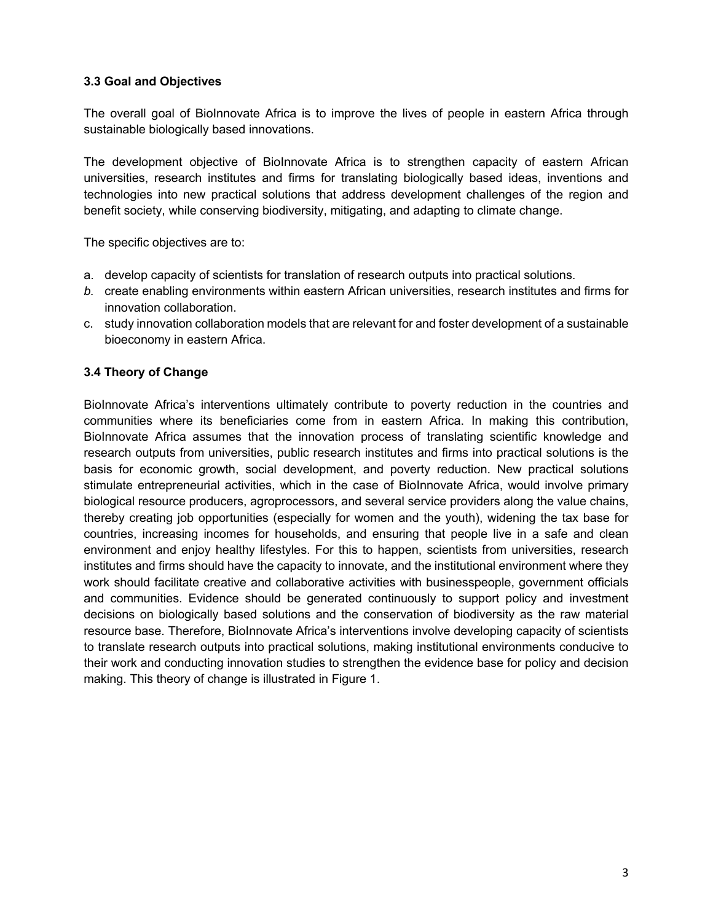#### **3.3 Goal and Objectives**

The overall goal of BioInnovate Africa is to improve the lives of people in eastern Africa through sustainable biologically based innovations.

The development objective of BioInnovate Africa is to strengthen capacity of eastern African universities, research institutes and firms for translating biologically based ideas, inventions and technologies into new practical solutions that address development challenges of the region and benefit society, while conserving biodiversity, mitigating, and adapting to climate change.

The specific objectives are to:

- a. develop capacity of scientists for translation of research outputs into practical solutions.
- *b.* create enabling environments within eastern African universities, research institutes and firms for innovation collaboration.
- c. study innovation collaboration models that are relevant for and foster development of a sustainable bioeconomy in eastern Africa.

#### **3.4 Theory of Change**

BioInnovate Africa's interventions ultimately contribute to poverty reduction in the countries and communities where its beneficiaries come from in eastern Africa. In making this contribution, BioInnovate Africa assumes that the innovation process of translating scientific knowledge and research outputs from universities, public research institutes and firms into practical solutions is the basis for economic growth, social development, and poverty reduction. New practical solutions stimulate entrepreneurial activities, which in the case of BioInnovate Africa, would involve primary biological resource producers, agroprocessors, and several service providers along the value chains, thereby creating job opportunities (especially for women and the youth), widening the tax base for countries, increasing incomes for households, and ensuring that people live in a safe and clean environment and enjoy healthy lifestyles. For this to happen, scientists from universities, research institutes and firms should have the capacity to innovate, and the institutional environment where they work should facilitate creative and collaborative activities with businesspeople, government officials and communities. Evidence should be generated continuously to support policy and investment decisions on biologically based solutions and the conservation of biodiversity as the raw material resource base. Therefore, BioInnovate Africa's interventions involve developing capacity of scientists to translate research outputs into practical solutions, making institutional environments conducive to their work and conducting innovation studies to strengthen the evidence base for policy and decision making. This theory of change is illustrated in Figure 1.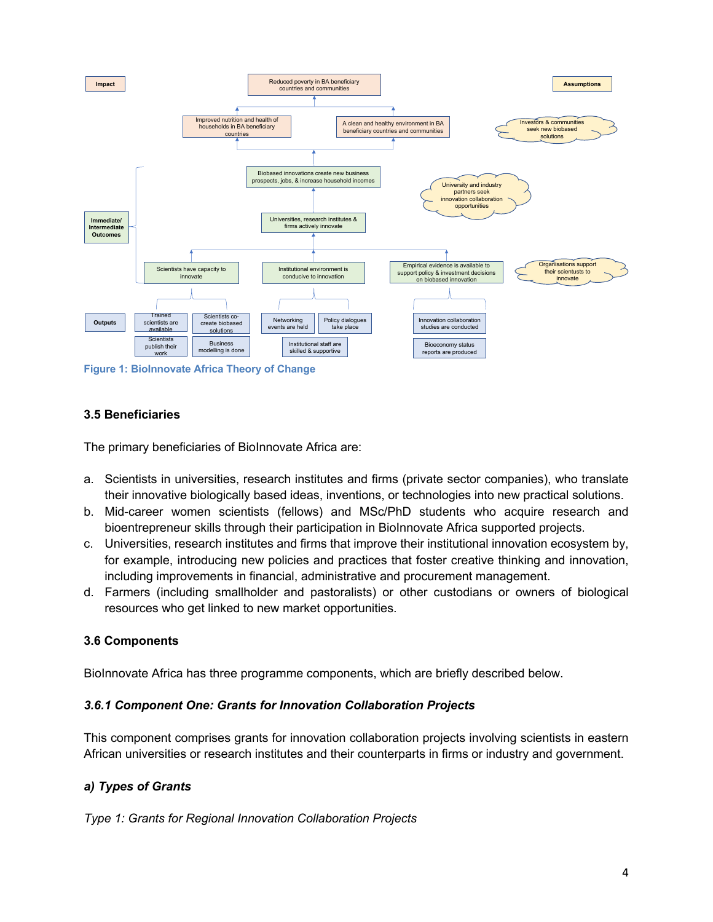

**Figure 1: BioInnovate Africa Theory of Change**

#### **3.5 Beneficiaries**

The primary beneficiaries of BioInnovate Africa are:

- a. Scientists in universities, research institutes and firms (private sector companies), who translate their innovative biologically based ideas, inventions, or technologies into new practical solutions.
- b. Mid-career women scientists (fellows) and MSc/PhD students who acquire research and bioentrepreneur skills through their participation in BioInnovate Africa supported projects.
- c. Universities, research institutes and firms that improve their institutional innovation ecosystem by, for example, introducing new policies and practices that foster creative thinking and innovation, including improvements in financial, administrative and procurement management.
- d. Farmers (including smallholder and pastoralists) or other custodians or owners of biological resources who get linked to new market opportunities.

#### **3.6 Components**

BioInnovate Africa has three programme components, which are briefly described below.

#### *3.6.1 Component One: Grants for Innovation Collaboration Projects*

This component comprises grants for innovation collaboration projects involving scientists in eastern African universities or research institutes and their counterparts in firms or industry and government.

#### *a) Types of Grants*

*Type 1: Grants for Regional Innovation Collaboration Projects*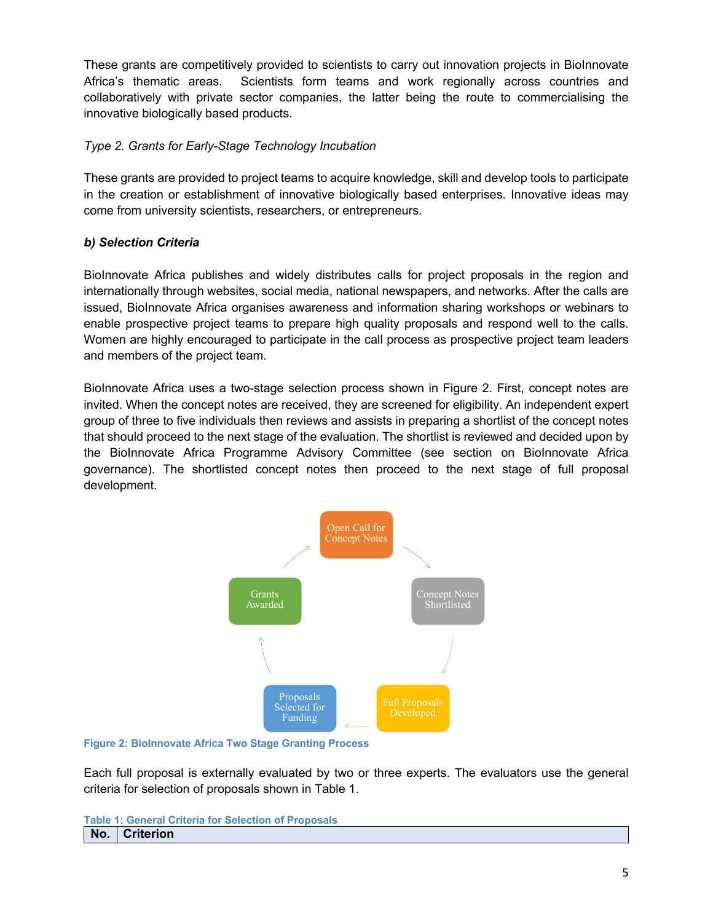These grants are competitively provided to scientists to carry out innovation projects in BioInnovate Africa's thematic areas. Scientists form teams and work regionally across countries and collaboratively with private sector companies, the latter being the route to commercialising the innovative biologically based products.

#### *Type 2. Grants for Early-Stage Technology Incubation*

These grants are provided to project teams to acquire knowledge, skill and develop tools to participate in the creation or establishment of innovative biologically based enterprises. Innovative ideas may come from university scientists, researchers, or entrepreneurs.

### *b) Selection Criteria*

BioInnovate Africa publishes and widely distributes calls for project proposals in the region and internationally through websites, social media, national newspapers, and networks. After the calls are issued, BioInnovate Africa organises awareness and information sharing workshops or webinars to enable prospective project teams to prepare high quality proposals and respond well to the calls. Women are highly encouraged to participate in the call process as prospective project team leaders and members of the project team.

BioInnovate Africa uses a two-stage selection process shown in Figure 2. First, concept notes are invited. When the concept notes are received, they are screened for eligibility. An independent expert group of three to five individuals then reviews and assists in preparing a shortlist of the concept notes that should proceed to the next stage of the evaluation. The shortlist is reviewed and decided upon by the BioInnovate Africa Programme Advisory Committee (see section on BioInnovate Africa governance). The shortlisted concept notes then proceed to the next stage of full proposal development.



**Figure 2: BioInnovate Africa Two Stage Granting Process**

Each full proposal is externally evaluated by two or three experts. The evaluators use the general criteria for selection of proposals shown in Table 1.

| <b>Table 1: General Criteria for Selection of Proposals</b> |
|-------------------------------------------------------------|
| No. Criterion                                               |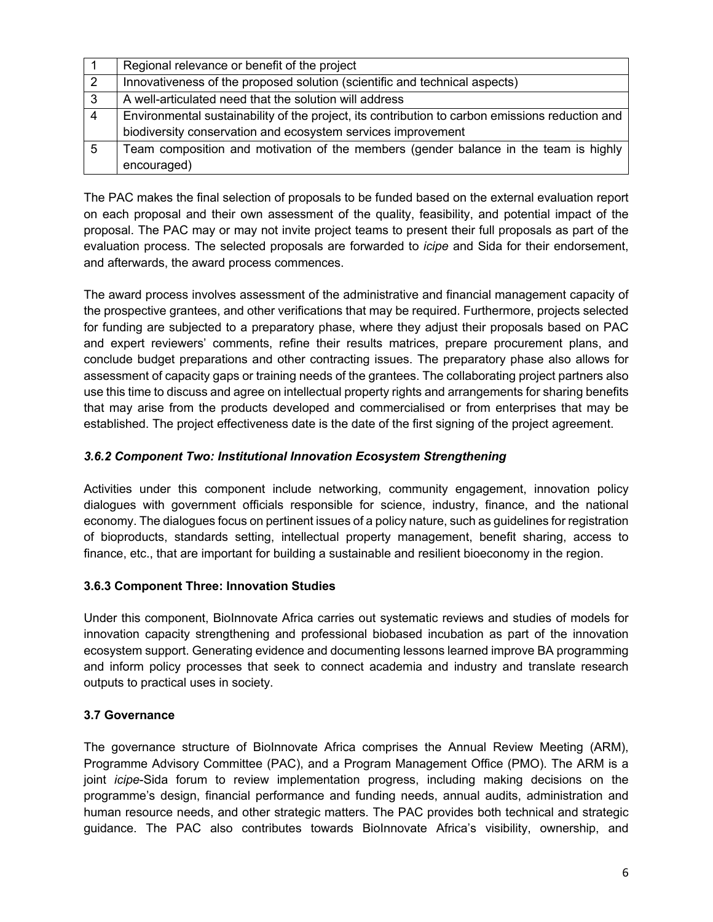|   | Regional relevance or benefit of the project                                                    |
|---|-------------------------------------------------------------------------------------------------|
| 2 | Innovativeness of the proposed solution (scientific and technical aspects)                      |
| 3 | A well-articulated need that the solution will address                                          |
| 4 | Environmental sustainability of the project, its contribution to carbon emissions reduction and |
|   | biodiversity conservation and ecosystem services improvement                                    |
| 5 | Team composition and motivation of the members (gender balance in the team is highly            |
|   | encouraged)                                                                                     |

The PAC makes the final selection of proposals to be funded based on the external evaluation report on each proposal and their own assessment of the quality, feasibility, and potential impact of the proposal. The PAC may or may not invite project teams to present their full proposals as part of the evaluation process. The selected proposals are forwarded to *icipe* and Sida for their endorsement, and afterwards, the award process commences.

The award process involves assessment of the administrative and financial management capacity of the prospective grantees, and other verifications that may be required. Furthermore, projects selected for funding are subjected to a preparatory phase, where they adjust their proposals based on PAC and expert reviewers' comments, refine their results matrices, prepare procurement plans, and conclude budget preparations and other contracting issues. The preparatory phase also allows for assessment of capacity gaps or training needs of the grantees. The collaborating project partners also use this time to discuss and agree on intellectual property rights and arrangements for sharing benefits that may arise from the products developed and commercialised or from enterprises that may be established. The project effectiveness date is the date of the first signing of the project agreement.

### *3.6.2 Component Two: Institutional Innovation Ecosystem Strengthening*

Activities under this component include networking, community engagement, innovation policy dialogues with government officials responsible for science, industry, finance, and the national economy. The dialogues focus on pertinent issues of a policy nature, such as guidelines for registration of bioproducts, standards setting, intellectual property management, benefit sharing, access to finance, etc., that are important for building a sustainable and resilient bioeconomy in the region.

#### **3.6.3 Component Three: Innovation Studies**

Under this component, BioInnovate Africa carries out systematic reviews and studies of models for innovation capacity strengthening and professional biobased incubation as part of the innovation ecosystem support. Generating evidence and documenting lessons learned improve BA programming and inform policy processes that seek to connect academia and industry and translate research outputs to practical uses in society.

#### **3.7 Governance**

The governance structure of BioInnovate Africa comprises the Annual Review Meeting (ARM), Programme Advisory Committee (PAC), and a Program Management Office (PMO). The ARM is a joint *icipe*-Sida forum to review implementation progress, including making decisions on the programme's design, financial performance and funding needs, annual audits, administration and human resource needs, and other strategic matters. The PAC provides both technical and strategic guidance. The PAC also contributes towards BioInnovate Africa's visibility, ownership, and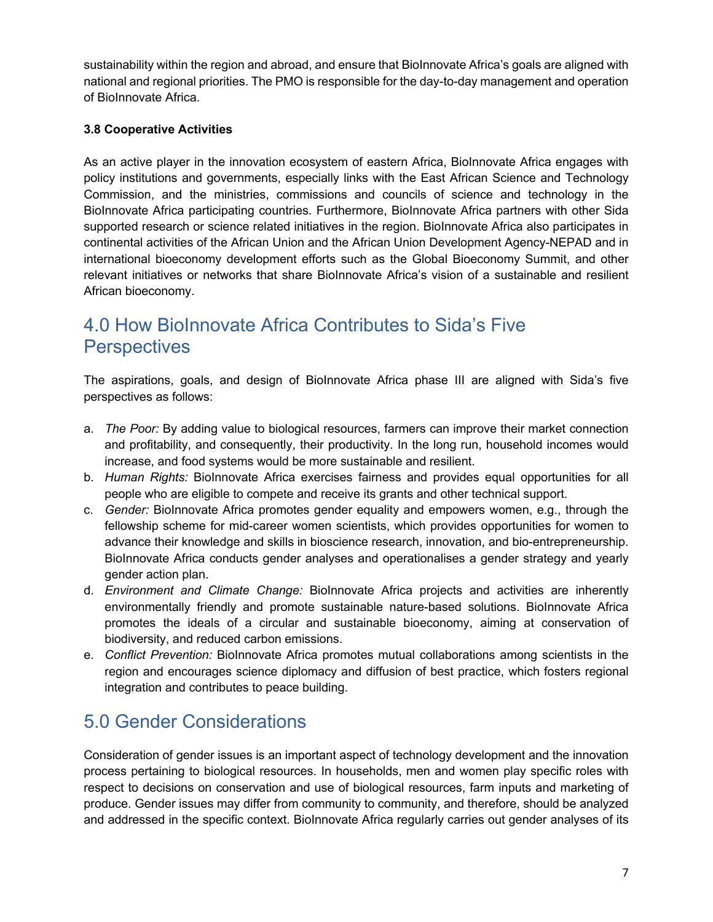sustainability within the region and abroad, and ensure that BioInnovate Africa's goals are aligned with national and regional priorities. The PMO is responsible for the day-to-day management and operation of BioInnovate Africa.

### **3.8 Cooperative Activities**

As an active player in the innovation ecosystem of eastern Africa, BioInnovate Africa engages with policy institutions and governments, especially links with the East African Science and Technology Commission, and the ministries, commissions and councils of science and technology in the BioInnovate Africa participating countries. Furthermore, BioInnovate Africa partners with other Sida supported research or science related initiatives in the region. BioInnovate Africa also participates in continental activities of the African Union and the African Union Development Agency-NEPAD and in international bioeconomy development efforts such as the Global Bioeconomy Summit, and other relevant initiatives or networks that share BioInnovate Africa's vision of a sustainable and resilient African bioeconomy.

### 4.0 How BioInnovate Africa Contributes to Sida's Five **Perspectives**

The aspirations, goals, and design of BioInnovate Africa phase III are aligned with Sida's five perspectives as follows:

- a. *The Poor:* By adding value to biological resources, farmers can improve their market connection and profitability, and consequently, their productivity. In the long run, household incomes would increase, and food systems would be more sustainable and resilient.
- b. *Human Rights:* BioInnovate Africa exercises fairness and provides equal opportunities for all people who are eligible to compete and receive its grants and other technical support.
- c. *Gender:* BioInnovate Africa promotes gender equality and empowers women, e.g., through the fellowship scheme for mid-career women scientists, which provides opportunities for women to advance their knowledge and skills in bioscience research, innovation, and bio-entrepreneurship. BioInnovate Africa conducts gender analyses and operationalises a gender strategy and yearly gender action plan.
- d. *Environment and Climate Change:* BioInnovate Africa projects and activities are inherently environmentally friendly and promote sustainable nature-based solutions. BioInnovate Africa promotes the ideals of a circular and sustainable bioeconomy, aiming at conservation of biodiversity, and reduced carbon emissions.
- e. *Conflict Prevention:* BioInnovate Africa promotes mutual collaborations among scientists in the region and encourages science diplomacy and diffusion of best practice, which fosters regional integration and contributes to peace building.

# 5.0 Gender Considerations

Consideration of gender issues is an important aspect of technology development and the innovation process pertaining to biological resources. In households, men and women play specific roles with respect to decisions on conservation and use of biological resources, farm inputs and marketing of produce. Gender issues may differ from community to community, and therefore, should be analyzed and addressed in the specific context. BioInnovate Africa regularly carries out gender analyses of its